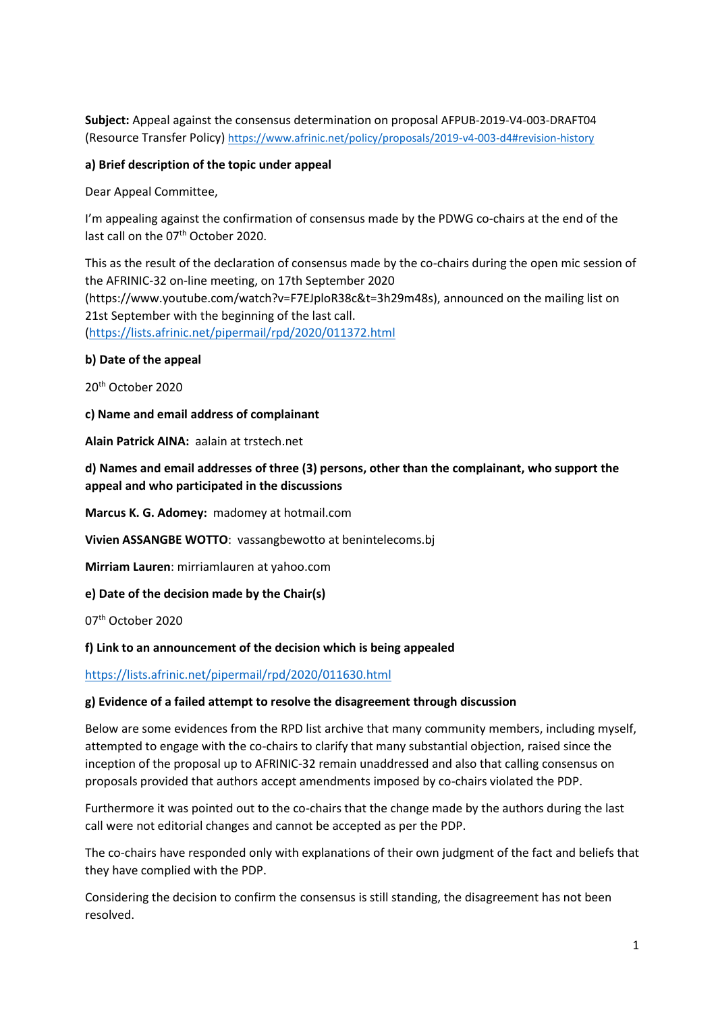**Subject:** Appeal against the consensus determination on proposal AFPUB-2019-V4-003-DRAFT04 (Resource Transfer Policy) <https://www.afrinic.net/policy/proposals/2019-v4-003-d4#revision-history>

#### **a) Brief description of the topic under appeal**

Dear Appeal Committee,

I'm appealing against the confirmation of consensus made by the PDWG co-chairs at the end of the last call on the 07<sup>th</sup> October 2020.

This as the result of the declaration of consensus made by the co-chairs during the open mic session of the AFRINIC-32 on-line meeting, on 17th September 2020 (https://www.youtube.com/watch?v=F7EJploR38c&t=3h29m48s), announced on the mailing list on 21st September with the beginning of the last call. [\(https://lists.afrinic.net/pipermail/rpd/2020/011372.html](https://lists.afrinic.net/pipermail/rpd/2020/011372.html)

#### **b) Date of the appeal**

20th October 2020

**c) Name and email address of complainant**

**Alain Patrick AINA:** aalain at trstech.net

**d) Names and email addresses of three (3) persons, other than the complainant, who support the appeal and who participated in the discussions**

**Marcus K. G. Adomey:** madomey at hotmail.com

**Vivien ASSANGBE WOTTO**: vassangbewotto at benintelecoms.bj

**Mirriam Lauren**: mirriamlauren at yahoo.com

**e) Date of the decision made by the Chair(s)**

07th October 2020

**f) Link to an announcement of the decision which is being appealed**

<https://lists.afrinic.net/pipermail/rpd/2020/011630.html>

#### **g) Evidence of a failed attempt to resolve the disagreement through discussion**

Below are some evidences from the RPD list archive that many community members, including myself, attempted to engage with the co-chairs to clarify that many substantial objection, raised since the inception of the proposal up to AFRINIC-32 remain unaddressed and also that calling consensus on proposals provided that authors accept amendments imposed by co-chairs violated the PDP.

Furthermore it was pointed out to the co-chairs that the change made by the authors during the last call were not editorial changes and cannot be accepted as per the PDP.

The co-chairs have responded only with explanations of their own judgment of the fact and beliefs that they have complied with the PDP.

Considering the decision to confirm the consensus is still standing, the disagreement has not been resolved.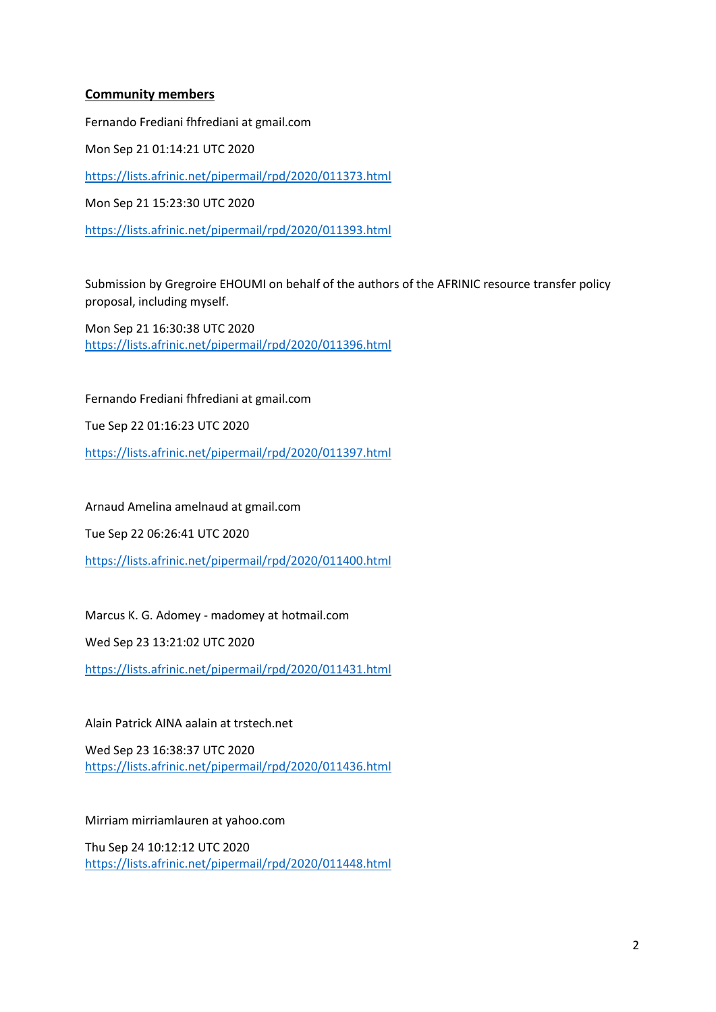#### **Community members**

Fernando Frediani fhfrediani at gmail.com Mon Sep 21 01:14:21 UTC 2020 <https://lists.afrinic.net/pipermail/rpd/2020/011373.html> Mon Sep 21 15:23:30 UTC 2020 <https://lists.afrinic.net/pipermail/rpd/2020/011393.html>

Submission by Gregroire EHOUMI on behalf of the authors of the AFRINIC resource transfer policy proposal, including myself.

Mon Sep 21 16:30:38 UTC 2020 <https://lists.afrinic.net/pipermail/rpd/2020/011396.html>

Fernando Frediani fhfrediani at gmail.com Tue Sep 22 01:16:23 UTC 2020 <https://lists.afrinic.net/pipermail/rpd/2020/011397.html>

Arnaud Amelina amelnaud at gmail.com

Tue Sep 22 06:26:41 UTC 2020

<https://lists.afrinic.net/pipermail/rpd/2020/011400.html>

Marcus K. G. Adomey - madomey at hotmail.com

Wed Sep 23 13:21:02 UTC 2020

<https://lists.afrinic.net/pipermail/rpd/2020/011431.html>

#### Alain Patrick AINA aalain at trstech.net

Wed Sep 23 16:38:37 UTC 2020 <https://lists.afrinic.net/pipermail/rpd/2020/011436.html>

Mirriam mirriamlauren at yahoo.com

Thu Sep 24 10:12:12 UTC 2020 <https://lists.afrinic.net/pipermail/rpd/2020/011448.html>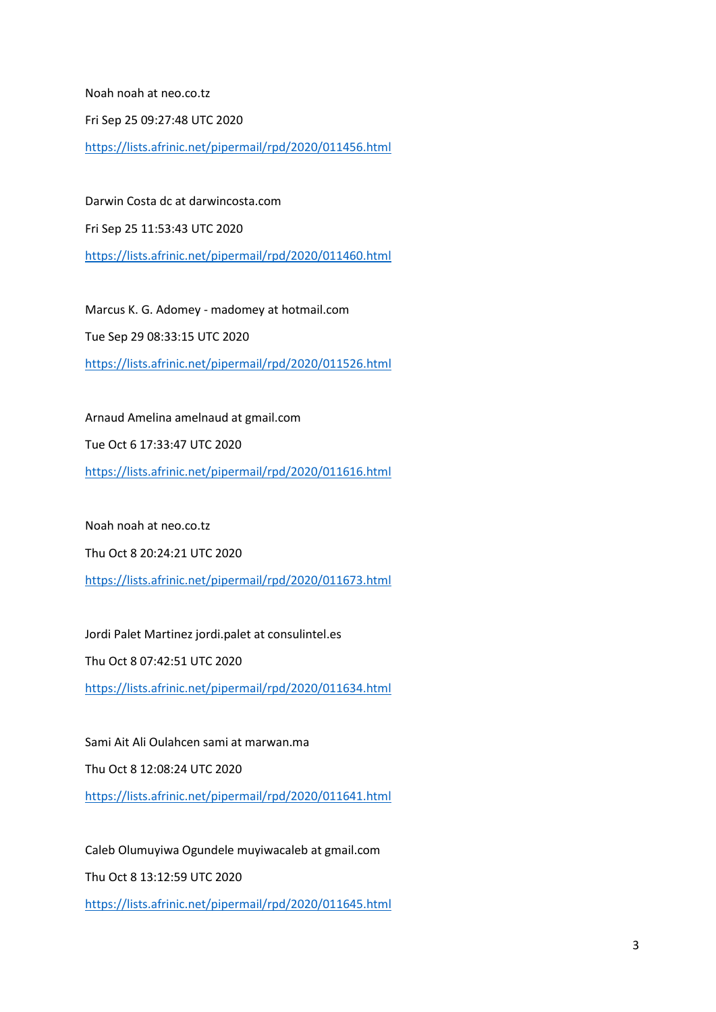Noah noah at neo.co.tz

Fri Sep 25 09:27:48 UTC 2020

<https://lists.afrinic.net/pipermail/rpd/2020/011456.html>

Darwin Costa dc at darwincosta.com Fri Sep 25 11:53:43 UTC 2020 <https://lists.afrinic.net/pipermail/rpd/2020/011460.html>

Marcus K. G. Adomey - madomey at hotmail.com Tue Sep 29 08:33:15 UTC 2020 <https://lists.afrinic.net/pipermail/rpd/2020/011526.html>

Arnaud Amelina amelnaud at gmail.com Tue Oct 6 17:33:47 UTC 2020 <https://lists.afrinic.net/pipermail/rpd/2020/011616.html>

Noah noah at neo.co.tz

Thu Oct 8 20:24:21 UTC 2020

<https://lists.afrinic.net/pipermail/rpd/2020/011673.html>

Jordi Palet Martinez jordi.palet at consulintel.es

Thu Oct 8 07:42:51 UTC 2020

<https://lists.afrinic.net/pipermail/rpd/2020/011634.html>

Sami Ait Ali Oulahcen sami at marwan.ma Thu Oct 8 12:08:24 UTC 2020 <https://lists.afrinic.net/pipermail/rpd/2020/011641.html>

Caleb Olumuyiwa Ogundele muyiwacaleb at gmail.com

Thu Oct 8 13:12:59 UTC 2020

<https://lists.afrinic.net/pipermail/rpd/2020/011645.html>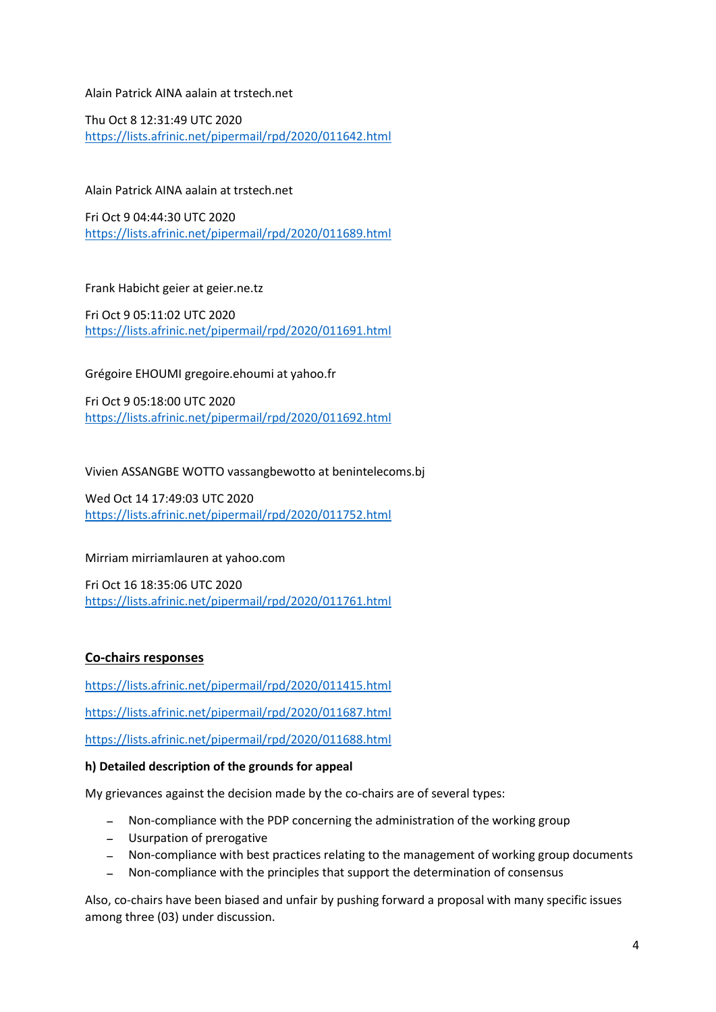#### Alain Patrick AINA aalain at trstech.net

Thu Oct 8 12:31:49 UTC 2020 <https://lists.afrinic.net/pipermail/rpd/2020/011642.html>

Alain Patrick AINA aalain at trstech.net

Fri Oct 9 04:44:30 UTC 2020 <https://lists.afrinic.net/pipermail/rpd/2020/011689.html>

#### Frank Habicht geier at geier.ne.tz

Fri Oct 9 05:11:02 UTC 2020 <https://lists.afrinic.net/pipermail/rpd/2020/011691.html>

#### Grégoire EHOUMI gregoire.ehoumi at yahoo.fr

Fri Oct 9 05:18:00 UTC 2020 <https://lists.afrinic.net/pipermail/rpd/2020/011692.html>

Vivien ASSANGBE WOTTO vassangbewotto at benintelecoms.bj

Wed Oct 14 17:49:03 UTC 2020 <https://lists.afrinic.net/pipermail/rpd/2020/011752.html>

#### Mirriam mirriamlauren at yahoo.com

Fri Oct 16 18:35:06 UTC 2020 <https://lists.afrinic.net/pipermail/rpd/2020/011761.html>

#### **Co-chairs responses**

<https://lists.afrinic.net/pipermail/rpd/2020/011415.html>

<https://lists.afrinic.net/pipermail/rpd/2020/011687.html>

<https://lists.afrinic.net/pipermail/rpd/2020/011688.html>

#### **h) Detailed description of the grounds for appeal**

My grievances against the decision made by the co-chairs are of several types:

- Non-compliance with the PDP concerning the administration of the working group
- Usurpation of prerogative
- Non-compliance with best practices relating to the management of working group documents
- Non-compliance with the principles that support the determination of consensus

Also, co-chairs have been biased and unfair by pushing forward a proposal with many specific issues among three (03) under discussion.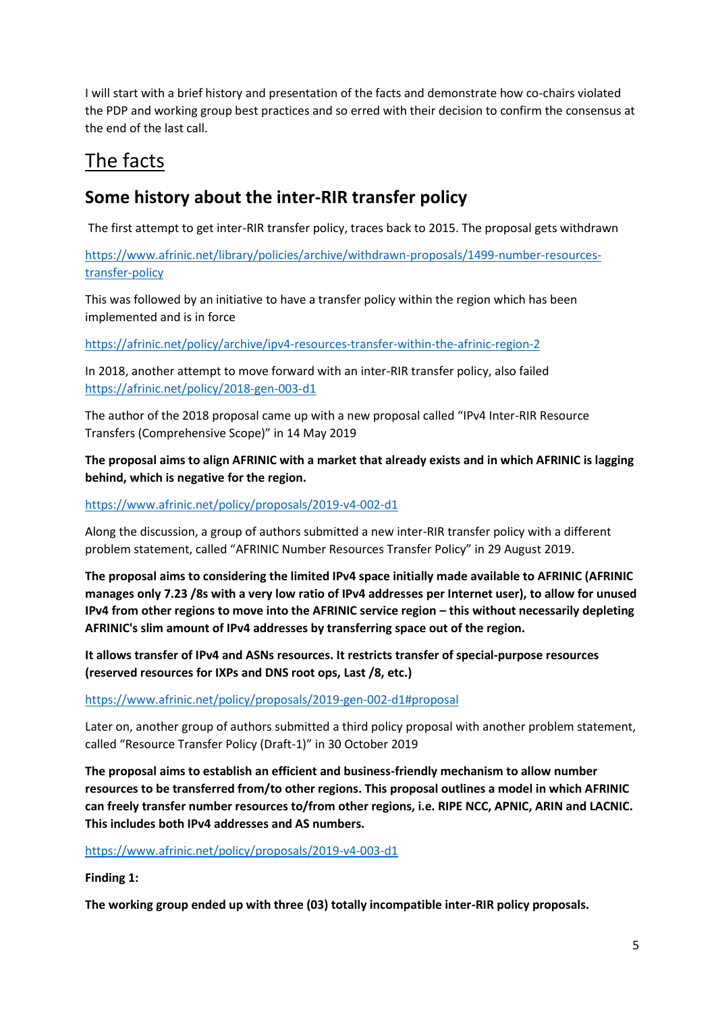I will start with a brief history and presentation of the facts and demonstrate how co-chairs violated the PDP and working group best practices and so erred with their decision to confirm the consensus at the end of the last call.

# The facts

## **Some history about the inter-RIR transfer policy**

The first attempt to get inter-RIR transfer policy, traces back to 2015. The proposal gets withdrawn

[https://www.afrinic.net/library/policies/archive/withdrawn-proposals/1499-number-resources](https://www.afrinic.net/library/policies/archive/withdrawn-proposals/1499-number-resources-transfer-policy)[transfer-policy](https://www.afrinic.net/library/policies/archive/withdrawn-proposals/1499-number-resources-transfer-policy)

This was followed by an initiative to have a transfer policy within the region which has been implemented and is in force

<https://afrinic.net/policy/archive/ipv4-resources-transfer-within-the-afrinic-region-2>

In 2018, another attempt to move forward with an inter-RIR transfer policy, also failed <https://afrinic.net/policy/2018-gen-003-d1>

The author of the 2018 proposal came up with a new proposal called "IPv4 Inter-RIR Resource Transfers (Comprehensive Scope)" in 14 May 2019

## **The proposal aims to align AFRINIC with a market that already exists and in which AFRINIC is lagging behind, which is negative for the region.**

### <https://www.afrinic.net/policy/proposals/2019-v4-002-d1>

Along the discussion, a group of authors submitted a new inter-RIR transfer policy with a different problem statement, called "AFRINIC Number Resources Transfer Policy" in 29 August 2019.

**The proposal aims to considering the limited IPv4 space initially made available to AFRINIC (AFRINIC manages only 7.23 /8s with a very low ratio of IPv4 addresses per Internet user), to allow for unused IPv4 from other regions to move into the AFRINIC service region – this without necessarily depleting AFRINIC's slim amount of IPv4 addresses by transferring space out of the region.**

**It allows transfer of IPv4 and ASNs resources. It restricts transfer of special-purpose resources (reserved resources for IXPs and DNS root ops, Last /8, etc.)**

<https://www.afrinic.net/policy/proposals/2019-gen-002-d1#proposal>

Later on, another group of authors submitted a third policy proposal with another problem statement, called "Resource Transfer Policy (Draft-1)" in 30 October 2019

**The proposal aims to establish an efficient and business-friendly mechanism to allow number resources to be transferred from/to other regions. This proposal outlines a model in which AFRINIC can freely transfer number resources to/from other regions, i.e. RIPE NCC, APNIC, ARIN and LACNIC. This includes both IPv4 addresses and AS numbers.**

## <https://www.afrinic.net/policy/proposals/2019-v4-003-d1>

**Finding 1:**

**The working group ended up with three (03) totally incompatible inter-RIR policy proposals.**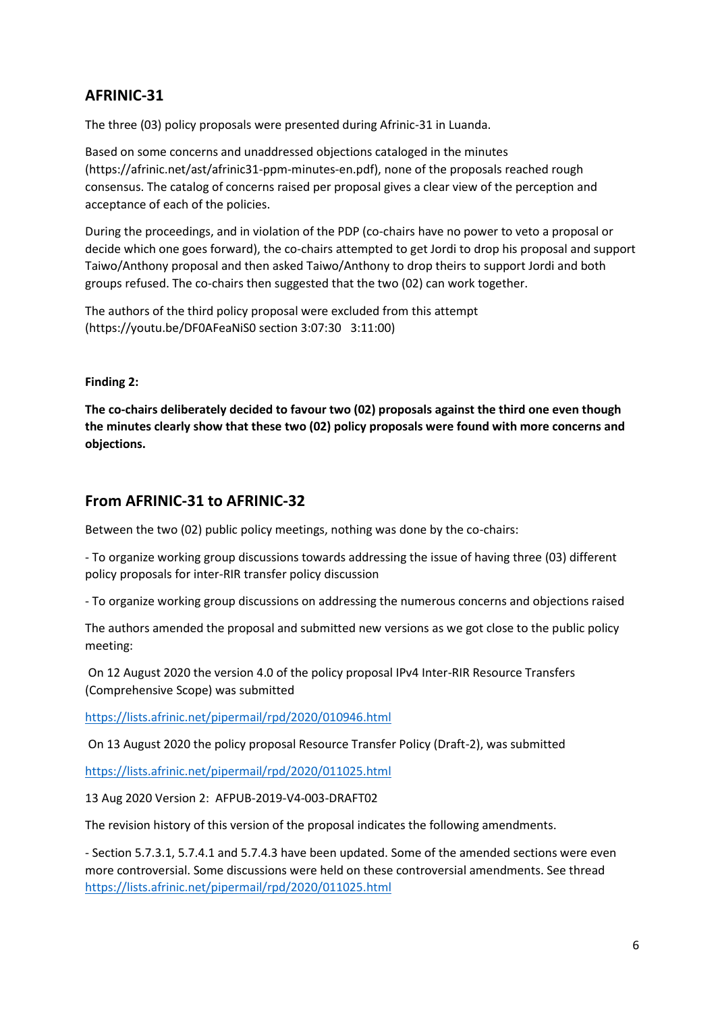## **AFRINIC-31**

The three (03) policy proposals were presented during Afrinic-31 in Luanda.

Based on some concerns and unaddressed objections cataloged in the minutes (https://afrinic.net/ast/afrinic31-ppm-minutes-en.pdf), none of the proposals reached rough consensus. The catalog of concerns raised per proposal gives a clear view of the perception and acceptance of each of the policies.

During the proceedings, and in violation of the PDP (co-chairs have no power to veto a proposal or decide which one goes forward), the co-chairs attempted to get Jordi to drop his proposal and support Taiwo/Anthony proposal and then asked Taiwo/Anthony to drop theirs to support Jordi and both groups refused. The co-chairs then suggested that the two (02) can work together.

The authors of the third policy proposal were excluded from this attempt (https://youtu.be/DF0AFeaNiS0 section 3:07:30 3:11:00)

#### **Finding 2:**

**The co-chairs deliberately decided to favour two (02) proposals against the third one even though the minutes clearly show that these two (02) policy proposals were found with more concerns and objections.**

## **From AFRINIC-31 to AFRINIC-32**

Between the two (02) public policy meetings, nothing was done by the co-chairs:

- To organize working group discussions towards addressing the issue of having three (03) different policy proposals for inter-RIR transfer policy discussion

- To organize working group discussions on addressing the numerous concerns and objections raised

The authors amended the proposal and submitted new versions as we got close to the public policy meeting:

On 12 August 2020 the version 4.0 of the policy proposal IPv4 Inter-RIR Resource Transfers (Comprehensive Scope) was submitted

<https://lists.afrinic.net/pipermail/rpd/2020/010946.html>

On 13 August 2020 the policy proposal Resource Transfer Policy (Draft-2), was submitted

<https://lists.afrinic.net/pipermail/rpd/2020/011025.html>

13 Aug 2020 Version 2: AFPUB-2019-V4-003-DRAFT02

The revision history of this version of the proposal indicates the following amendments.

- Section 5.7.3.1, 5.7.4.1 and 5.7.4.3 have been updated. Some of the amended sections were even more controversial. Some discussions were held on these controversial amendments. See thread <https://lists.afrinic.net/pipermail/rpd/2020/011025.html>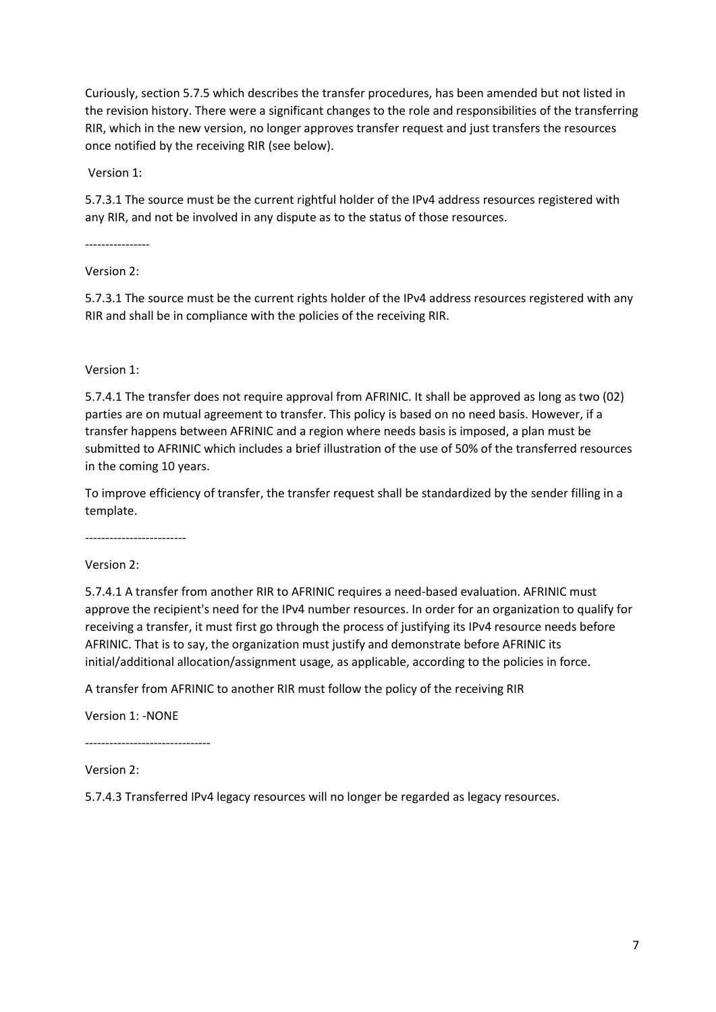Curiously, section 5.7.5 which describes the transfer procedures, has been amended but not listed in the revision history. There were a significant changes to the role and responsibilities of the transferring RIR, which in the new version, no longer approves transfer request and just transfers the resources once notified by the receiving RIR (see below).

Version 1:

5.7.3.1 The source must be the current rightful holder of the IPv4 address resources registered with any RIR, and not be involved in any dispute as to the status of those resources.

----------------

Version 2:

5.7.3.1 The source must be the current rights holder of the IPv4 address resources registered with any RIR and shall be in compliance with the policies of the receiving RIR.

Version 1:

5.7.4.1 The transfer does not require approval from AFRINIC. It shall be approved as long as two (02) parties are on mutual agreement to transfer. This policy is based on no need basis. However, if a transfer happens between AFRINIC and a region where needs basis is imposed, a plan must be submitted to AFRINIC which includes a brief illustration of the use of 50% of the transferred resources in the coming 10 years.

To improve efficiency of transfer, the transfer request shall be standardized by the sender filling in a template.

-------------------------

Version 2:

5.7.4.1 A transfer from another RIR to AFRINIC requires a need-based evaluation. AFRINIC must approve the recipient's need for the IPv4 number resources. In order for an organization to qualify for receiving a transfer, it must first go through the process of justifying its IPv4 resource needs before AFRINIC. That is to say, the organization must justify and demonstrate before AFRINIC its initial/additional allocation/assignment usage, as applicable, according to the policies in force.

A transfer from AFRINIC to another RIR must follow the policy of the receiving RIR

Version 1: -NONE

-------------------------------

Version 2:

5.7.4.3 Transferred IPv4 legacy resources will no longer be regarded as legacy resources.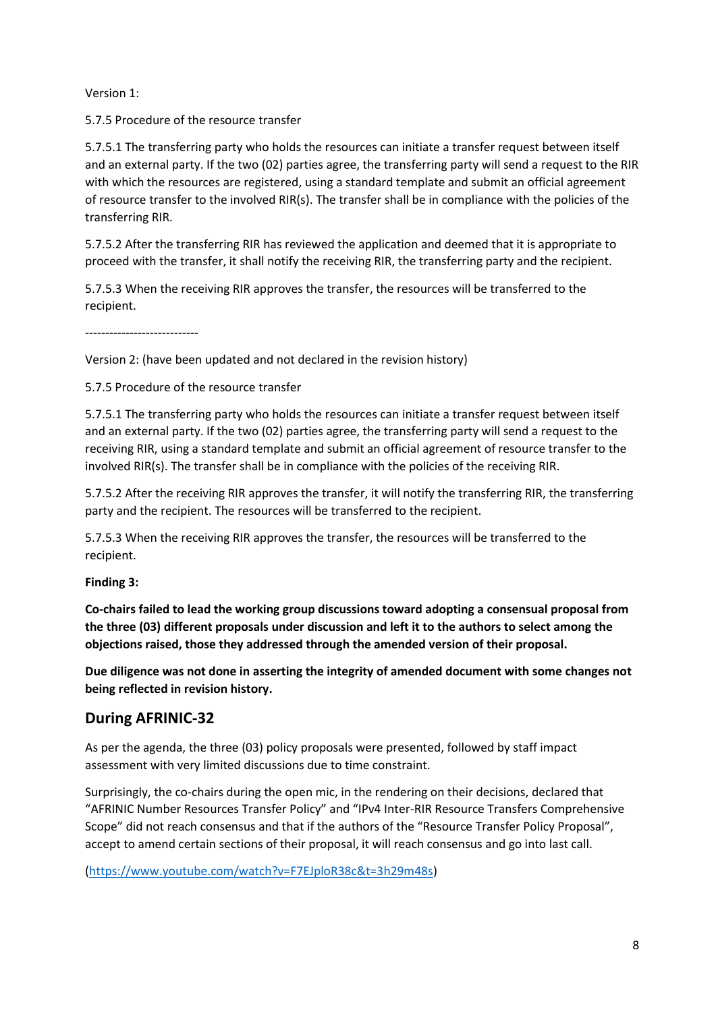Version 1:

5.7.5 Procedure of the resource transfer

5.7.5.1 The transferring party who holds the resources can initiate a transfer request between itself and an external party. If the two (02) parties agree, the transferring party will send a request to the RIR with which the resources are registered, using a standard template and submit an official agreement of resource transfer to the involved RIR(s). The transfer shall be in compliance with the policies of the transferring RIR.

5.7.5.2 After the transferring RIR has reviewed the application and deemed that it is appropriate to proceed with the transfer, it shall notify the receiving RIR, the transferring party and the recipient.

5.7.5.3 When the receiving RIR approves the transfer, the resources will be transferred to the recipient.

----------------------------

Version 2: (have been updated and not declared in the revision history)

5.7.5 Procedure of the resource transfer

5.7.5.1 The transferring party who holds the resources can initiate a transfer request between itself and an external party. If the two (02) parties agree, the transferring party will send a request to the receiving RIR, using a standard template and submit an official agreement of resource transfer to the involved RIR(s). The transfer shall be in compliance with the policies of the receiving RIR.

5.7.5.2 After the receiving RIR approves the transfer, it will notify the transferring RIR, the transferring party and the recipient. The resources will be transferred to the recipient.

5.7.5.3 When the receiving RIR approves the transfer, the resources will be transferred to the recipient.

#### **Finding 3:**

**Co-chairs failed to lead the working group discussions toward adopting a consensual proposal from the three (03) different proposals under discussion and left it to the authors to select among the objections raised, those they addressed through the amended version of their proposal.**

**Due diligence was not done in asserting the integrity of amended document with some changes not being reflected in revision history.**

## **During AFRINIC-32**

As per the agenda, the three (03) policy proposals were presented, followed by staff impact assessment with very limited discussions due to time constraint.

Surprisingly, the co-chairs during the open mic, in the rendering on their decisions, declared that "AFRINIC Number Resources Transfer Policy" and "IPv4 Inter-RIR Resource Transfers Comprehensive Scope" did not reach consensus and that if the authors of the "Resource Transfer Policy Proposal", accept to amend certain sections of their proposal, it will reach consensus and go into last call.

[\(https://www.youtube.com/watch?v=F7EJploR38c&t=3h29m48s\)](https://www.youtube.com/watch?v=F7EJploR38c&t=3h29m48s)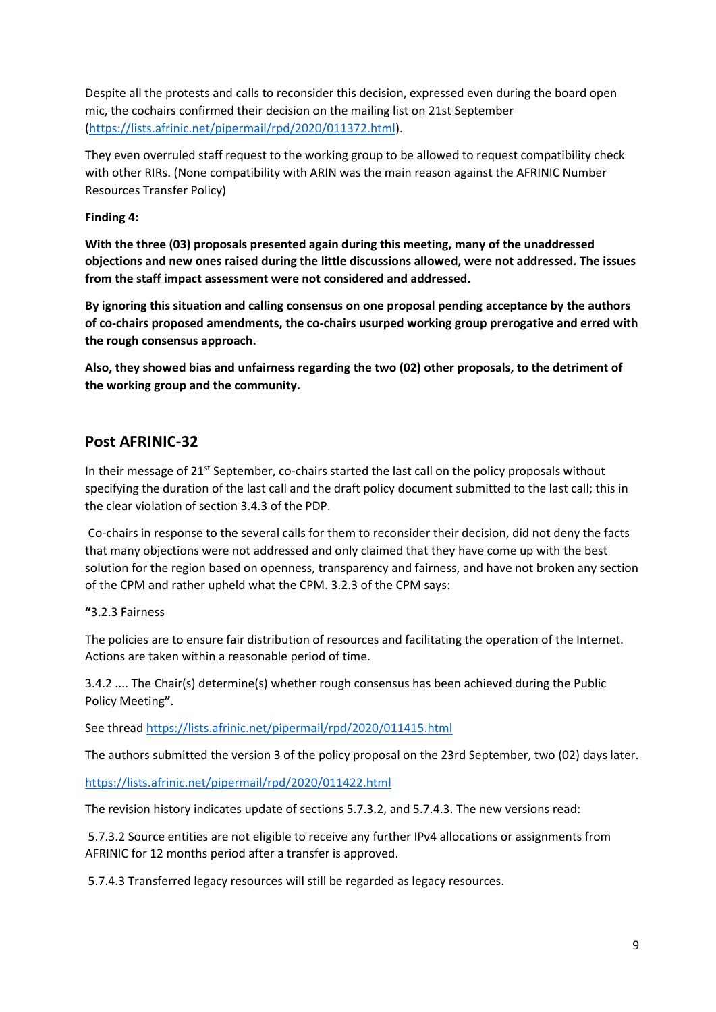Despite all the protests and calls to reconsider this decision, expressed even during the board open mic, the cochairs confirmed their decision on the mailing list on 21st September [\(https://lists.afrinic.net/pipermail/rpd/2020/011372.html\)](https://lists.afrinic.net/pipermail/rpd/2020/011372.html).

They even overruled staff request to the working group to be allowed to request compatibility check with other RIRs. (None compatibility with ARIN was the main reason against the AFRINIC Number Resources Transfer Policy)

#### **Finding 4:**

**With the three (03) proposals presented again during this meeting, many of the unaddressed objections and new ones raised during the little discussions allowed, were not addressed. The issues from the staff impact assessment were not considered and addressed.**

**By ignoring this situation and calling consensus on one proposal pending acceptance by the authors of co-chairs proposed amendments, the co-chairs usurped working group prerogative and erred with the rough consensus approach.**

**Also, they showed bias and unfairness regarding the two (02) other proposals, to the detriment of the working group and the community.**

## **Post AFRINIC-32**

In their message of  $21^{st}$  September, co-chairs started the last call on the policy proposals without specifying the duration of the last call and the draft policy document submitted to the last call; this in the clear violation of section 3.4.3 of the PDP.

Co-chairs in response to the several calls for them to reconsider their decision, did not deny the facts that many objections were not addressed and only claimed that they have come up with the best solution for the region based on openness, transparency and fairness, and have not broken any section of the CPM and rather upheld what the CPM. 3.2.3 of the CPM says:

#### **"**3.2.3 Fairness

The policies are to ensure fair distribution of resources and facilitating the operation of the Internet. Actions are taken within a reasonable period of time.

3.4.2 .... The Chair(s) determine(s) whether rough consensus has been achieved during the Public Policy Meeting**"**.

See threa[d https://lists.afrinic.net/pipermail/rpd/2020/011415.html](https://lists.afrinic.net/pipermail/rpd/2020/011415.html)

The authors submitted the version 3 of the policy proposal on the 23rd September, two (02) days later.

<https://lists.afrinic.net/pipermail/rpd/2020/011422.html>

The revision history indicates update of sections 5.7.3.2, and 5.7.4.3. The new versions read:

5.7.3.2 Source entities are not eligible to receive any further IPv4 allocations or assignments from AFRINIC for 12 months period after a transfer is approved.

5.7.4.3 Transferred legacy resources will still be regarded as legacy resources.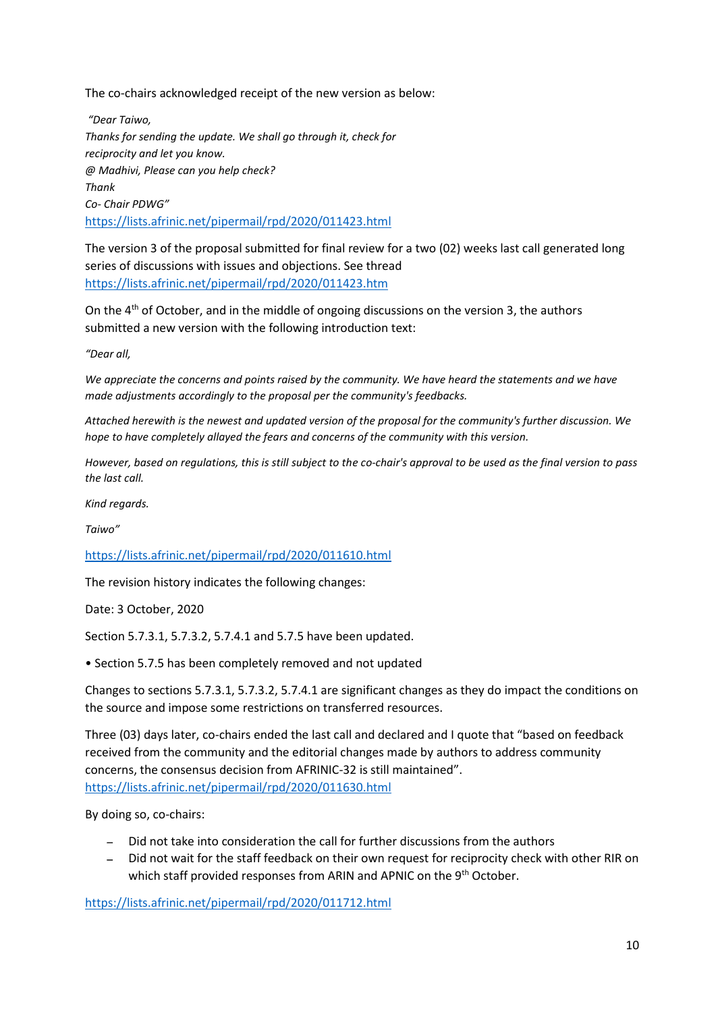The co-chairs acknowledged receipt of the new version as below:

*"Dear Taiwo, Thanks for sending the update. We shall go through it, check for reciprocity and let you know. @ Madhivi, Please can you help check? Thank Co- Chair PDWG"* <https://lists.afrinic.net/pipermail/rpd/2020/011423.html>

The version 3 of the proposal submitted for final review for a two (02) weeks last call generated long series of discussions with issues and objections. See thread <https://lists.afrinic.net/pipermail/rpd/2020/011423.htm>

On the 4th of October, and in the middle of ongoing discussions on the version 3, the authors submitted a new version with the following introduction text:

*"Dear all,*

*We appreciate the concerns and points raised by the community. We have heard the statements and we have made adjustments accordingly to the proposal per the community's feedbacks.*

*Attached herewith is the newest and updated version of the proposal for the community's further discussion. We hope to have completely allayed the fears and concerns of the community with this version.*

*However, based on regulations, this is still subject to the co-chair's approval to be used as the final version to pass the last call.*

*Kind regards.*

*Taiwo"*

<https://lists.afrinic.net/pipermail/rpd/2020/011610.html>

The revision history indicates the following changes:

Date: 3 October, 2020

Section 5.7.3.1, 5.7.3.2, 5.7.4.1 and 5.7.5 have been updated.

• Section 5.7.5 has been completely removed and not updated

Changes to sections 5.7.3.1, 5.7.3.2, 5.7.4.1 are significant changes as they do impact the conditions on the source and impose some restrictions on transferred resources.

Three (03) days later, co-chairs ended the last call and declared and I quote that "based on feedback received from the community and the editorial changes made by authors to address community concerns, the consensus decision from AFRINIC-32 is still maintained". <https://lists.afrinic.net/pipermail/rpd/2020/011630.html>

By doing so, co-chairs:

- Did not take into consideration the call for further discussions from the authors
- Did not wait for the staff feedback on their own request for reciprocity check with other RIR on which staff provided responses from ARIN and APNIC on the 9<sup>th</sup> October.

<https://lists.afrinic.net/pipermail/rpd/2020/011712.html>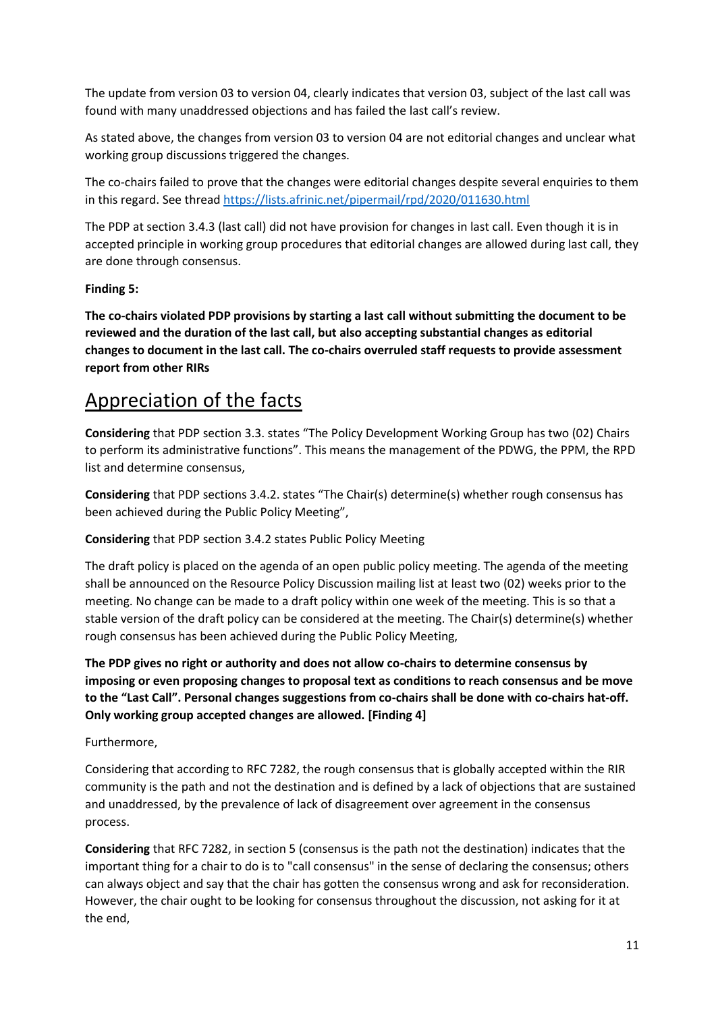The update from version 03 to version 04, clearly indicates that version 03, subject of the last call was found with many unaddressed objections and has failed the last call's review.

As stated above, the changes from version 03 to version 04 are not editorial changes and unclear what working group discussions triggered the changes.

The co-chairs failed to prove that the changes were editorial changes despite several enquiries to them in this regard. See thread<https://lists.afrinic.net/pipermail/rpd/2020/011630.html>

The PDP at section 3.4.3 (last call) did not have provision for changes in last call. Even though it is in accepted principle in working group procedures that editorial changes are allowed during last call, they are done through consensus.

#### **Finding 5:**

**The co-chairs violated PDP provisions by starting a last call without submitting the document to be reviewed and the duration of the last call, but also accepting substantial changes as editorial changes to document in the last call. The co-chairs overruled staff requests to provide assessment report from other RIRs**

## Appreciation of the facts

**Considering** that PDP section 3.3. states "The Policy Development Working Group has two (02) Chairs to perform its administrative functions". This means the management of the PDWG, the PPM, the RPD list and determine consensus,

**Considering** that PDP sections 3.4.2. states "The Chair(s) determine(s) whether rough consensus has been achieved during the Public Policy Meeting",

**Considering** that PDP section 3.4.2 states Public Policy Meeting

The draft policy is placed on the agenda of an open public policy meeting. The agenda of the meeting shall be announced on the Resource Policy Discussion mailing list at least two (02) weeks prior to the meeting. No change can be made to a draft policy within one week of the meeting. This is so that a stable version of the draft policy can be considered at the meeting. The Chair(s) determine(s) whether rough consensus has been achieved during the Public Policy Meeting,

**The PDP gives no right or authority and does not allow co-chairs to determine consensus by imposing or even proposing changes to proposal text as conditions to reach consensus and be move to the "Last Call". Personal changes suggestions from co-chairs shall be done with co-chairs hat-off. Only working group accepted changes are allowed. [Finding 4]**

Furthermore,

Considering that according to RFC 7282, the rough consensus that is globally accepted within the RIR community is the path and not the destination and is defined by a lack of objections that are sustained and unaddressed, by the prevalence of lack of disagreement over agreement in the consensus process.

**Considering** that RFC 7282, in section 5 (consensus is the path not the destination) indicates that the important thing for a chair to do is to "call consensus" in the sense of declaring the consensus; others can always object and say that the chair has gotten the consensus wrong and ask for reconsideration. However, the chair ought to be looking for consensus throughout the discussion, not asking for it at the end,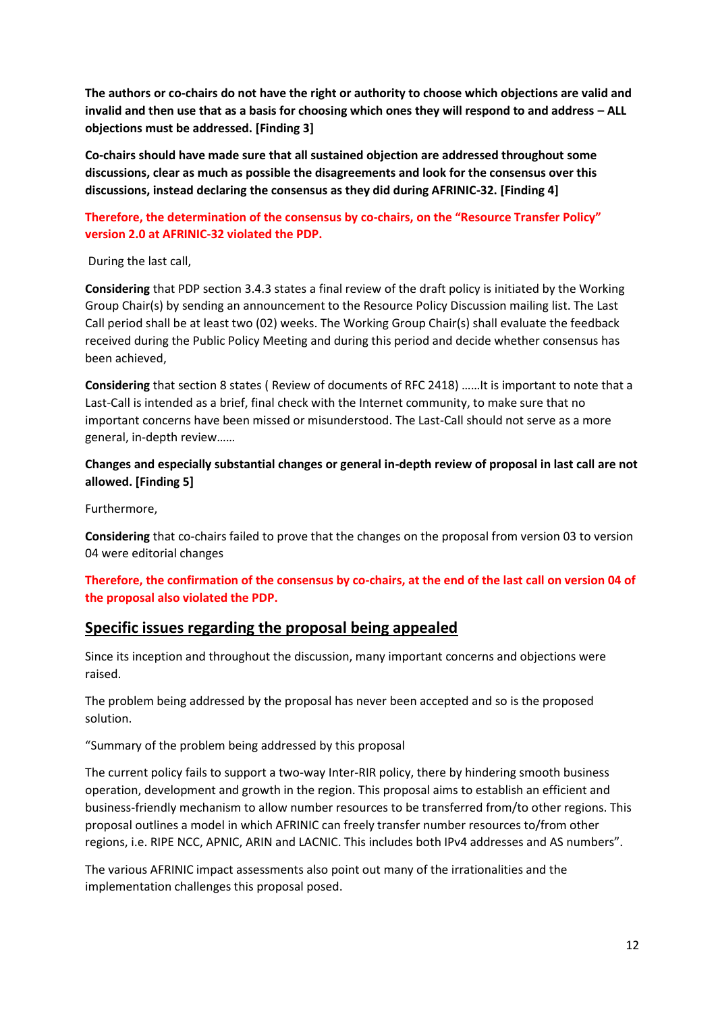**The authors or co-chairs do not have the right or authority to choose which objections are valid and**  invalid and then use that as a basis for choosing which ones they will respond to and address - ALL **objections must be addressed. [Finding 3]**

**Co-chairs should have made sure that all sustained objection are addressed throughout some discussions, clear as much as possible the disagreements and look for the consensus over this discussions, instead declaring the consensus as they did during AFRINIC-32. [Finding 4]**

#### **Therefore, the determination of the consensus by co-chairs, on the "Resource Transfer Policy" version 2.0 at AFRINIC-32 violated the PDP.**

During the last call,

**Considering** that PDP section 3.4.3 states a final review of the draft policy is initiated by the Working Group Chair(s) by sending an announcement to the Resource Policy Discussion mailing list. The Last Call period shall be at least two (02) weeks. The Working Group Chair(s) shall evaluate the feedback received during the Public Policy Meeting and during this period and decide whether consensus has been achieved,

**Considering** that section 8 states ( Review of documents of RFC 2418) ……It is important to note that a Last-Call is intended as a brief, final check with the Internet community, to make sure that no important concerns have been missed or misunderstood. The Last-Call should not serve as a more general, in-depth review……

### **Changes and especially substantial changes or general in-depth review of proposal in last call are not allowed. [Finding 5]**

Furthermore,

**Considering** that co-chairs failed to prove that the changes on the proposal from version 03 to version 04 were editorial changes

#### **Therefore, the confirmation of the consensus by co-chairs, at the end of the last call on version 04 of the proposal also violated the PDP.**

## **Specific issues regarding the proposal being appealed**

Since its inception and throughout the discussion, many important concerns and objections were raised.

The problem being addressed by the proposal has never been accepted and so is the proposed solution.

"Summary of the problem being addressed by this proposal

The current policy fails to support a two-way Inter-RIR policy, there by hindering smooth business operation, development and growth in the region. This proposal aims to establish an efficient and business-friendly mechanism to allow number resources to be transferred from/to other regions. This proposal outlines a model in which AFRINIC can freely transfer number resources to/from other regions, i.e. RIPE NCC, APNIC, ARIN and LACNIC. This includes both IPv4 addresses and AS numbers".

The various AFRINIC impact assessments also point out many of the irrationalities and the implementation challenges this proposal posed.